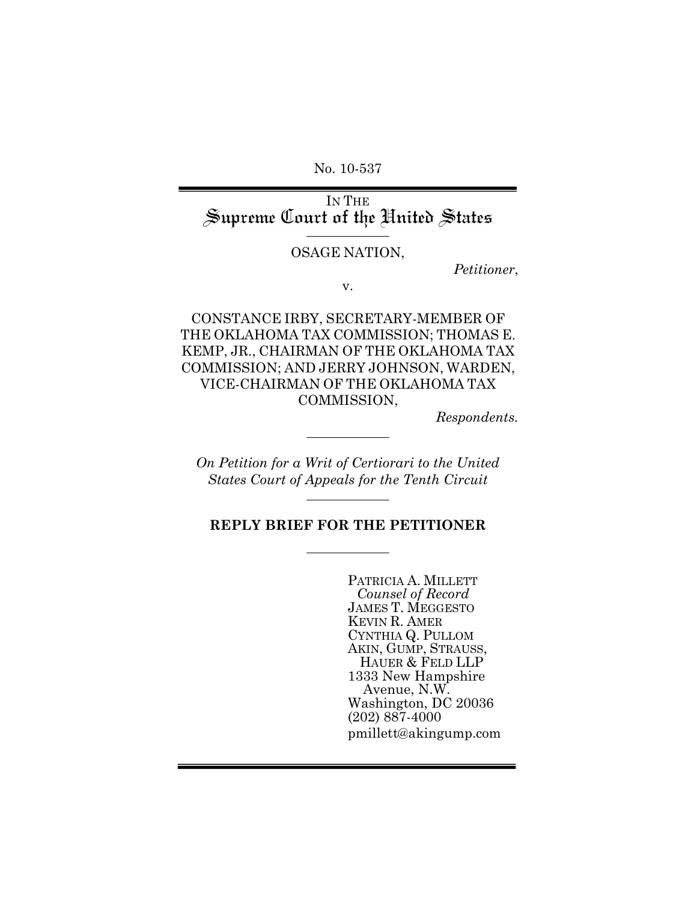No. 10-537

IN THE<br>Supreme Court of the United States

#### OSAGE NATION,

*Petitioner*,

v.

CONSTANCE IRBY, SECRETARY-MEMBER OF THE OKLAHOMA TAX COMMISSION; THOMAS E. KEMP, JR., CHAIRMAN OF THE OKLAHOMA TAX COMMISSION; AND JERRY JOHNSON, WARDEN, VICE-CHAIRMAN OF THE OKLAHOMA TAX COMMISSION,

*Respondents.*

*On Petition for a Writ of Certiorari to the United States Court of Appeals for the Tenth Circuit*

### **REPLY BRIEF FOR THE PETITIONER**

PATRICIA A. MILLETT *Counsel of Record* JAMES T. MEGGESTO KEVIN R. AMER CYNTHIA Q. PULLOM AKIN, GUMP, STRAUSS, HAUER & FELD LLP 1333 New Hampshire Avenue, N.W. Washington, DC 20036 (202) 887-4000 pmillett@akingump.com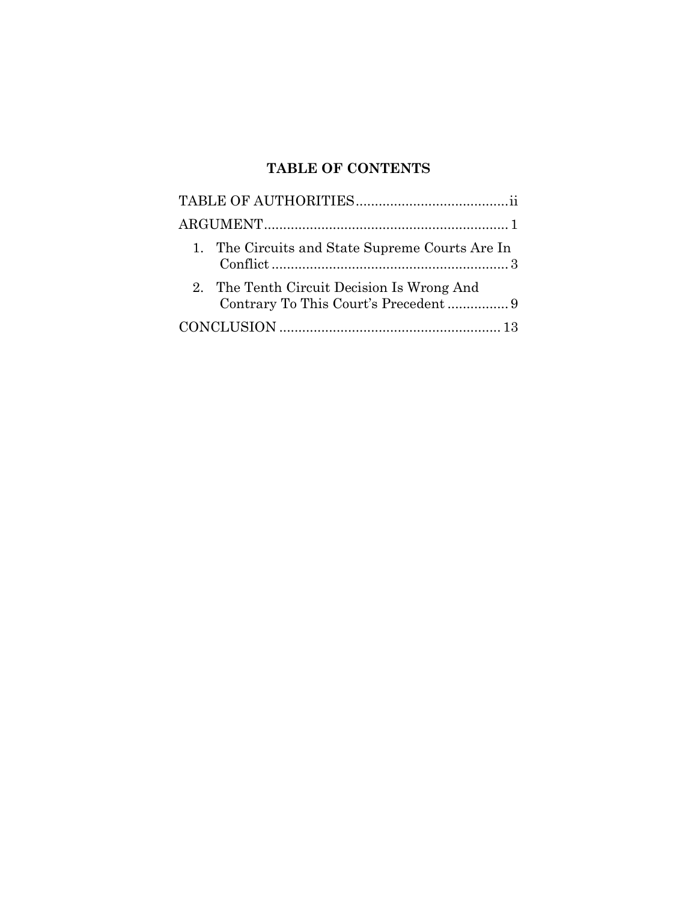# **TABLE OF CONTENTS**

| 1. The Circuits and State Supreme Courts Are In |
|-------------------------------------------------|
| 2. The Tenth Circuit Decision Is Wrong And      |
|                                                 |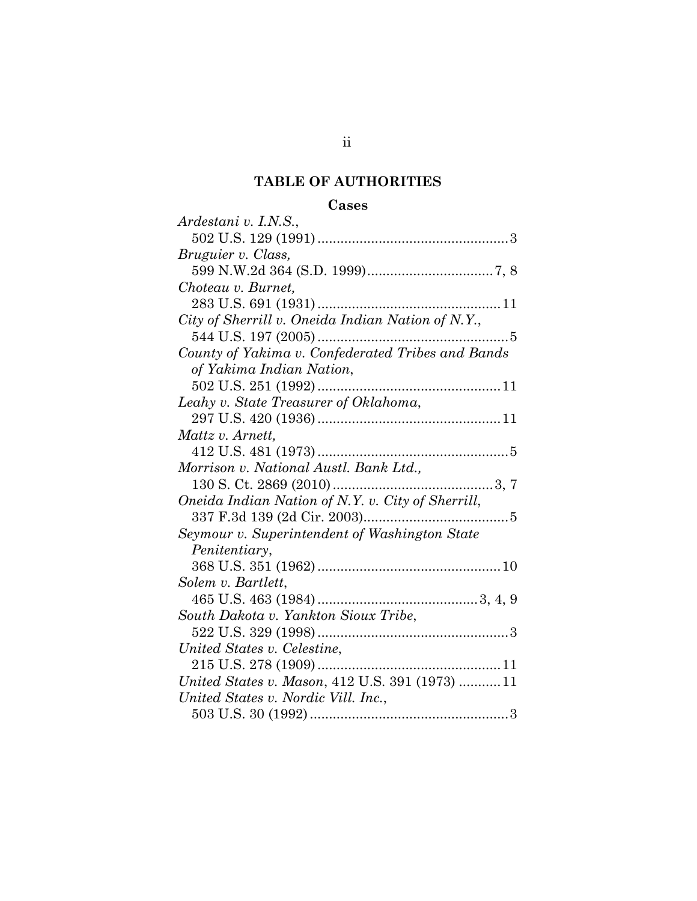## **TABLE OF AUTHORITIES**

## **Cases**

| vases                                             |
|---------------------------------------------------|
| Ardestani v. I.N.S.,                              |
|                                                   |
| Bruguier v. Class,                                |
|                                                   |
| Choteau v. Burnet,                                |
|                                                   |
| City of Sherrill v. Oneida Indian Nation of N.Y., |
|                                                   |
| County of Yakima v. Confederated Tribes and Bands |
| of Yakima Indian Nation,                          |
|                                                   |
| Leahy v. State Treasurer of Oklahoma,             |
|                                                   |
| Mattz v. Arnett,                                  |
|                                                   |
| Morrison v. National Austl. Bank Ltd.,            |
|                                                   |
| Oneida Indian Nation of N.Y. v. City of Sherrill, |
|                                                   |
| Seymour v. Superintendent of Washington State     |
| Penitentiary,                                     |
|                                                   |
| Solem v. Bartlett,                                |
|                                                   |
| South Dakota v. Yankton Sioux Tribe,              |
|                                                   |
| United States v. Celestine,                       |
|                                                   |
| United States v. Mason, 412 U.S. 391 (1973) 11    |
| United States v. Nordic Vill. Inc.,               |
|                                                   |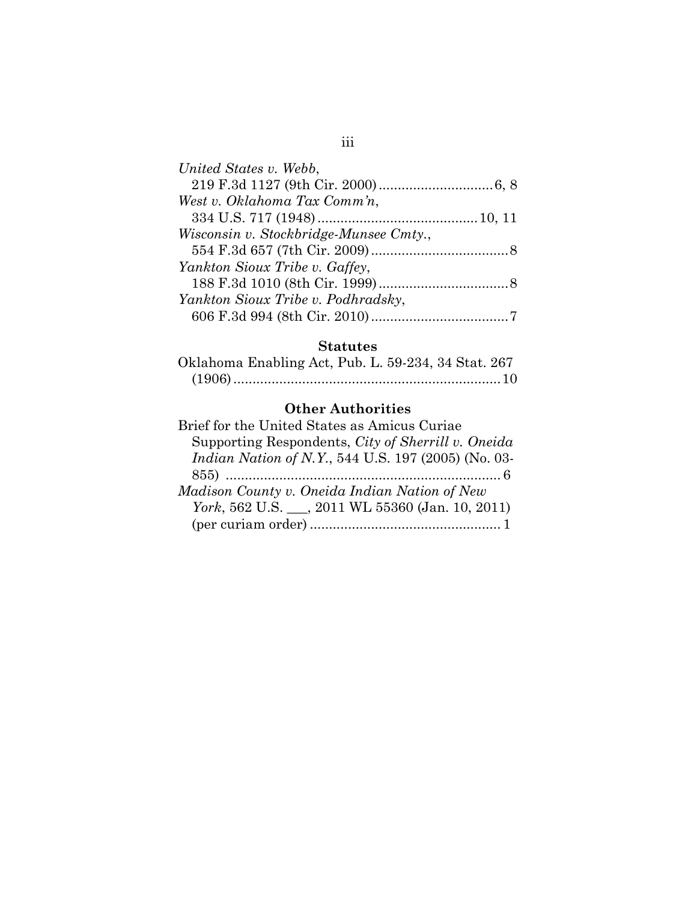### **Statutes**

| Oklahoma Enabling Act, Pub. L. 59-234, 34 Stat. 267 |  |  |
|-----------------------------------------------------|--|--|
|                                                     |  |  |

### **Other Authorities**

| Supporting Respondents, City of Sherrill v. Oneida          |
|-------------------------------------------------------------|
| <i>Indian Nation of N.Y.</i> , 544 U.S. 197 (2005) (No. 03- |
|                                                             |
|                                                             |
| York, 562 U.S. ___, 2011 WL 55360 (Jan. 10, 2011)           |
|                                                             |
|                                                             |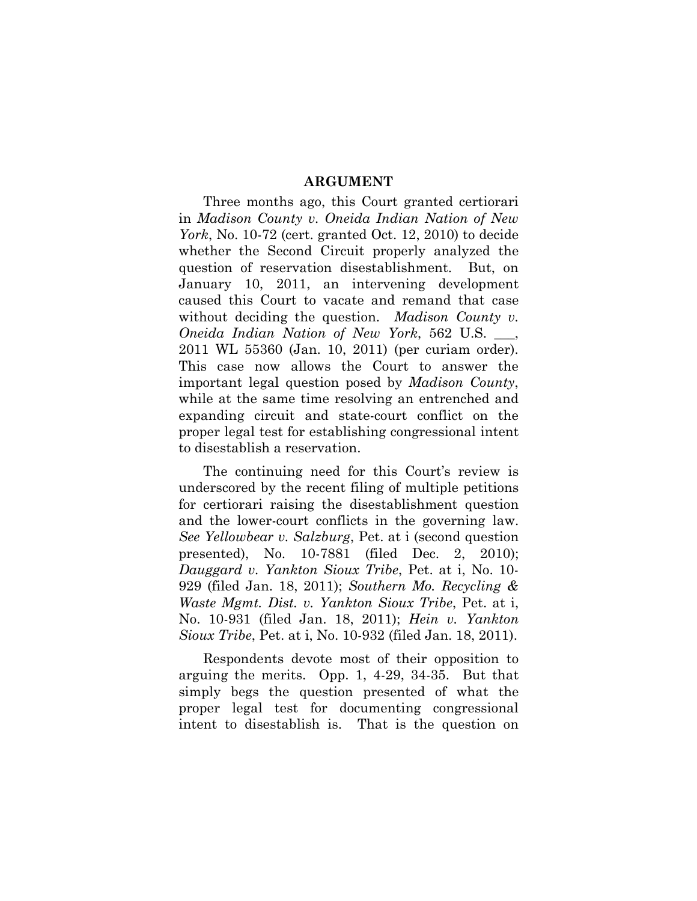#### **ARGUMENT**

Three months ago, this Court granted certiorari in *Madison County v. Oneida Indian Nation of New York*, No. 10-72 (cert. granted Oct. 12, 2010) to decide whether the Second Circuit properly analyzed the question of reservation disestablishment. But, on January 10, 2011, an intervening development caused this Court to vacate and remand that case without deciding the question. *Madison County v. Oneida Indian Nation of New York*, 562 U.S. \_\_\_, 2011 WL 55360 (Jan. 10, 2011) (per curiam order). This case now allows the Court to answer the important legal question posed by *Madison County*, while at the same time resolving an entrenched and expanding circuit and state-court conflict on the proper legal test for establishing congressional intent to disestablish a reservation.

The continuing need for this Court's review is underscored by the recent filing of multiple petitions for certiorari raising the disestablishment question and the lower-court conflicts in the governing law. *See Yellowbear v. Salzburg*, Pet. at i (second question presented), No. 10-7881 (filed Dec. 2, 2010); *Dauggard v. Yankton Sioux Tribe*, Pet. at i, No. 10- 929 (filed Jan. 18, 2011); *Southern Mo. Recycling & Waste Mgmt. Dist. v. Yankton Sioux Tribe*, Pet. at i, No. 10-931 (filed Jan. 18, 2011); *Hein v. Yankton Sioux Tribe*, Pet. at i, No. 10-932 (filed Jan. 18, 2011).

Respondents devote most of their opposition to arguing the merits. Opp. 1, 4-29, 34-35. But that simply begs the question presented of what the proper legal test for documenting congressional intent to disestablish is. That is the question on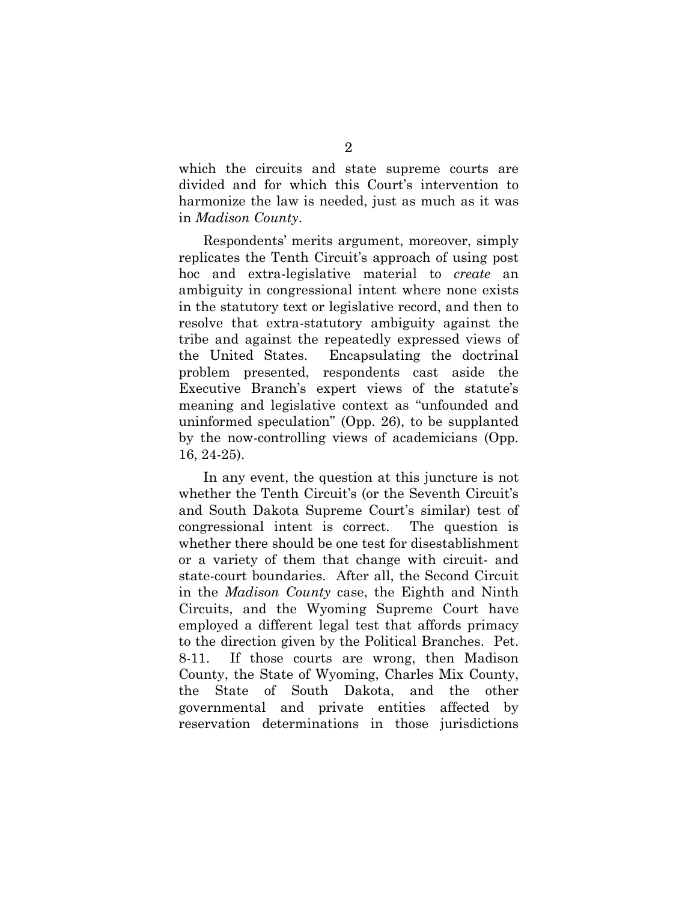which the circuits and state supreme courts are divided and for which this Court's intervention to harmonize the law is needed, just as much as it was in *Madison County*.

Respondents' merits argument, moreover, simply replicates the Tenth Circuit's approach of using post hoc and extra-legislative material to *create* an ambiguity in congressional intent where none exists in the statutory text or legislative record, and then to resolve that extra-statutory ambiguity against the tribe and against the repeatedly expressed views of the United States. Encapsulating the doctrinal problem presented, respondents cast aside the Executive Branch's expert views of the statute's meaning and legislative context as "unfounded and uninformed speculation" (Opp. 26), to be supplanted by the now-controlling views of academicians (Opp. 16, 24-25).

In any event, the question at this juncture is not whether the Tenth Circuit's (or the Seventh Circuit's and South Dakota Supreme Court's similar) test of congressional intent is correct. The question is whether there should be one test for disestablishment or a variety of them that change with circuit- and state-court boundaries. After all, the Second Circuit in the *Madison County* case, the Eighth and Ninth Circuits, and the Wyoming Supreme Court have employed a different legal test that affords primacy to the direction given by the Political Branches. Pet. 8-11. If those courts are wrong, then Madison County, the State of Wyoming, Charles Mix County, the State of South Dakota, and the other governmental and private entities affected by reservation determinations in those jurisdictions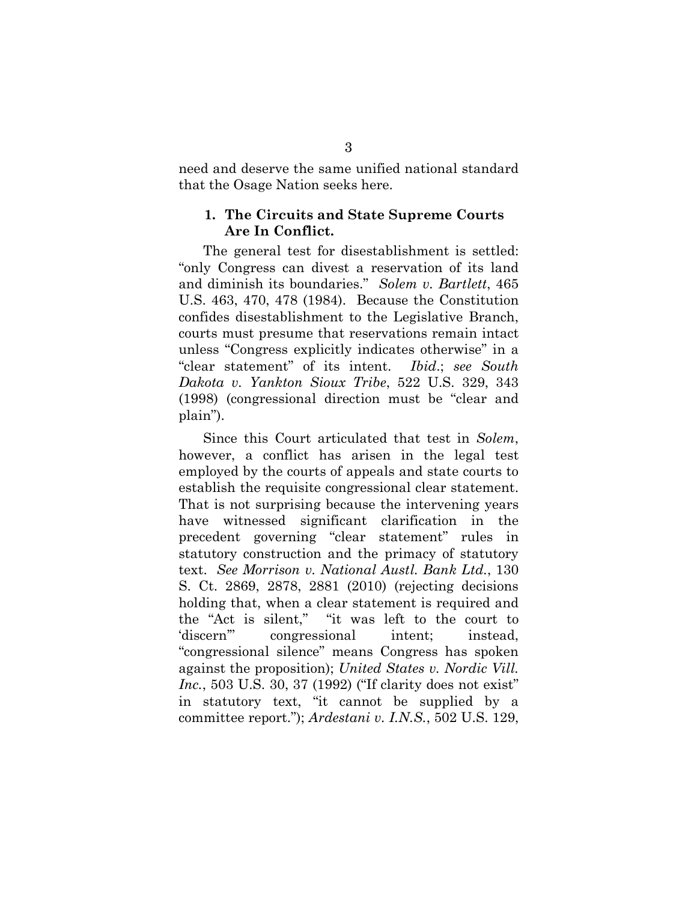need and deserve the same unified national standard that the Osage Nation seeks here.

#### **1. The Circuits and State Supreme Courts Are In Conflict.**

The general test for disestablishment is settled: "only Congress can divest a reservation of its land and diminish its boundaries." *Solem v. Bartlett*, 465 U.S. 463, 470, 478 (1984). Because the Constitution confides disestablishment to the Legislative Branch, courts must presume that reservations remain intact unless "Congress explicitly indicates otherwise" in a "clear statement" of its intent. *Ibid*.; *see South Dakota v. Yankton Sioux Tribe*, 522 U.S. 329, 343 (1998) (congressional direction must be "clear and plain").

Since this Court articulated that test in *Solem*, however, a conflict has arisen in the legal test employed by the courts of appeals and state courts to establish the requisite congressional clear statement. That is not surprising because the intervening years have witnessed significant clarification in the precedent governing "clear statement" rules in statutory construction and the primacy of statutory text. *See Morrison v. National Austl. Bank Ltd.*, 130 S. Ct. 2869, 2878, 2881 (2010) (rejecting decisions holding that, when a clear statement is required and the "Act is silent," "it was left to the court to 'discern'" congressional intent; instead, "congressional silence" means Congress has spoken against the proposition); *United States v. Nordic Vill. Inc.*, 503 U.S. 30, 37 (1992) ("If clarity does not exist" in statutory text, "it cannot be supplied by a committee report."); *Ardestani v. I.N.S.*, 502 U.S. 129,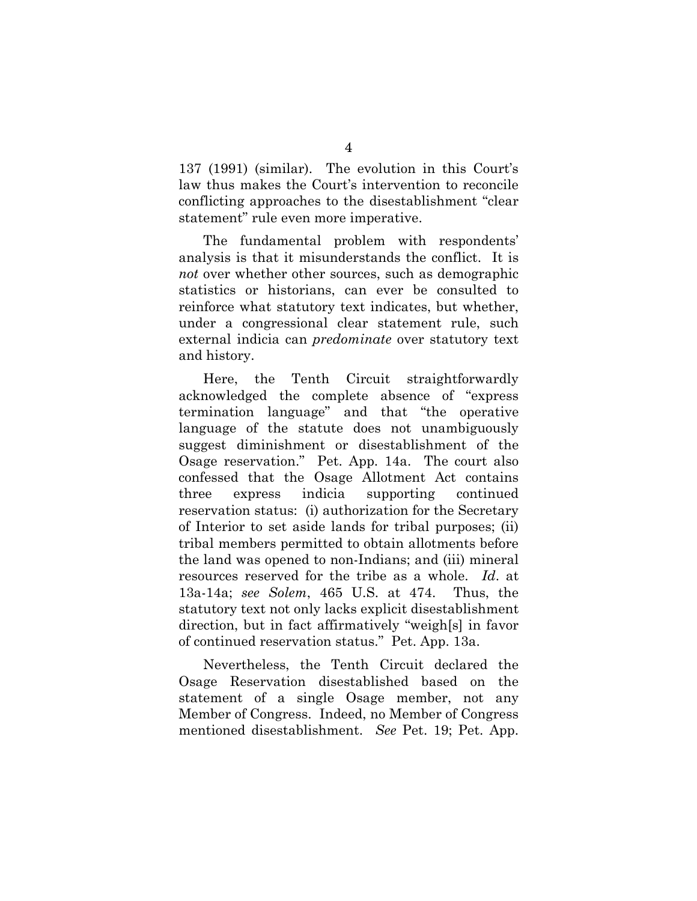137 (1991) (similar). The evolution in this Court's law thus makes the Court's intervention to reconcile conflicting approaches to the disestablishment "clear statement" rule even more imperative.

The fundamental problem with respondents' analysis is that it misunderstands the conflict. It is *not* over whether other sources, such as demographic statistics or historians, can ever be consulted to reinforce what statutory text indicates, but whether, under a congressional clear statement rule, such external indicia can *predominate* over statutory text and history.

Here, the Tenth Circuit straightforwardly acknowledged the complete absence of "express termination language" and that "the operative language of the statute does not unambiguously suggest diminishment or disestablishment of the Osage reservation." Pet. App. 14a. The court also confessed that the Osage Allotment Act contains three express indicia supporting continued reservation status: (i) authorization for the Secretary of Interior to set aside lands for tribal purposes; (ii) tribal members permitted to obtain allotments before the land was opened to non-Indians; and (iii) mineral resources reserved for the tribe as a whole. *Id*. at 13a-14a; *see Solem*, 465 U.S. at 474. Thus, the statutory text not only lacks explicit disestablishment direction, but in fact affirmatively "weigh[s] in favor of continued reservation status." Pet. App. 13a.

Nevertheless, the Tenth Circuit declared the Osage Reservation disestablished based on the statement of a single Osage member, not any Member of Congress. Indeed, no Member of Congress mentioned disestablishment. *See* Pet. 19; Pet. App.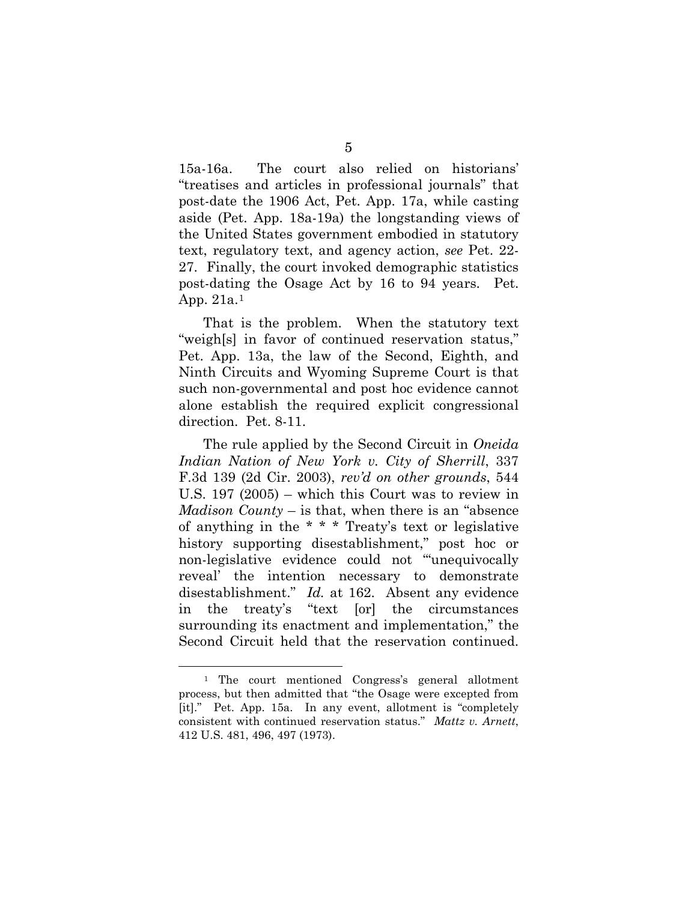15a-16a. The court also relied on historians' "treatises and articles in professional journals" that post-date the 1906 Act, Pet. App. 17a, while casting aside (Pet. App. 18a-19a) the longstanding views of the United States government embodied in statutory text, regulatory text, and agency action, *see* Pet. 22- 27. Finally, the court invoked demographic statistics post-dating the Osage Act by 16 to 94 years. Pet. App. 21a.[1](#page-8-0)

That is the problem. When the statutory text "weigh[s] in favor of continued reservation status," Pet. App. 13a, the law of the Second, Eighth, and Ninth Circuits and Wyoming Supreme Court is that such non-governmental and post hoc evidence cannot alone establish the required explicit congressional direction. Pet. 8-11.

The rule applied by the Second Circuit in *Oneida Indian Nation of New York v. City of Sherrill*, 337 F.3d 139 (2d Cir. 2003), *rev'd on other grounds*, 544 U.S. 197 (2005) – which this Court was to review in *Madison County* – is that, when there is an "absence of anything in the \* \* \* Treaty's text or legislative history supporting disestablishment," post hoc or non-legislative evidence could not "'unequivocally reveal' the intention necessary to demonstrate disestablishment." *Id.* at 162. Absent any evidence in the treaty's "text [or] the circumstances surrounding its enactment and implementation," the Second Circuit held that the reservation continued.

<u>.</u>

<span id="page-8-0"></span><sup>1</sup> The court mentioned Congress's general allotment process, but then admitted that "the Osage were excepted from [it]." Pet. App. 15a. In any event, allotment is "completely consistent with continued reservation status." *Mattz v. Arnett*, 412 U.S. 481, 496, 497 (1973).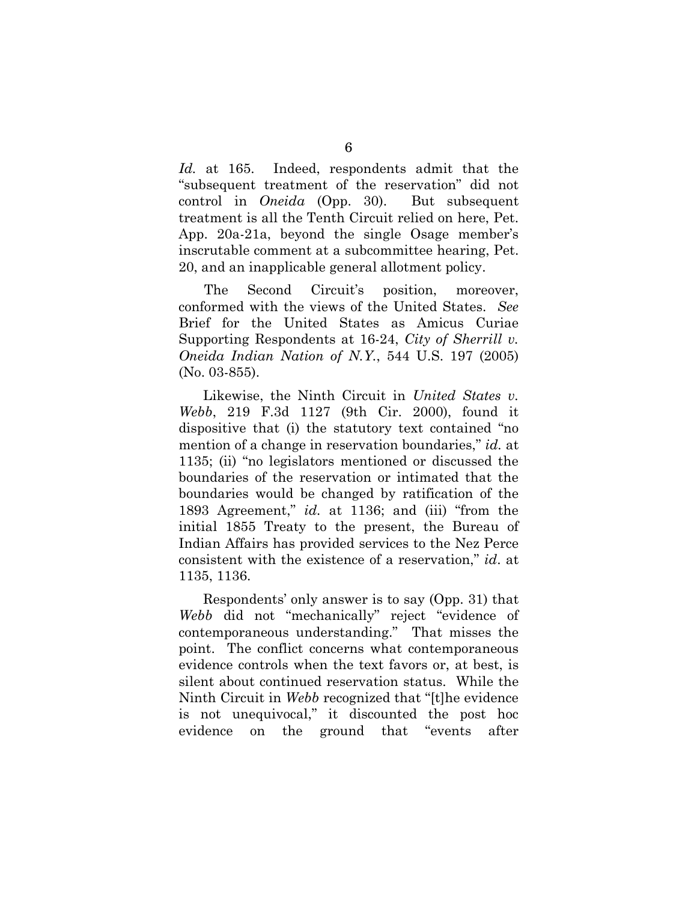*Id.* at 165. Indeed, respondents admit that the "subsequent treatment of the reservation" did not control in *Oneida* (Opp. 30). But subsequent treatment is all the Tenth Circuit relied on here, Pet. App. 20a-21a, beyond the single Osage member's inscrutable comment at a subcommittee hearing, Pet. 20, and an inapplicable general allotment policy.

The Second Circuit's position, moreover, conformed with the views of the United States. *See*  Brief for the United States as Amicus Curiae Supporting Respondents at 16-24, *City of Sherrill v. Oneida Indian Nation of N.Y.*, 544 U.S. 197 (2005) (No. 03-855).

Likewise, the Ninth Circuit in *United States v. Webb*, 219 F.3d 1127 (9th Cir. 2000), found it dispositive that (i) the statutory text contained "no mention of a change in reservation boundaries," *id.* at 1135; (ii) "no legislators mentioned or discussed the boundaries of the reservation or intimated that the boundaries would be changed by ratification of the 1893 Agreement," *id.* at 1136; and (iii) "from the initial 1855 Treaty to the present, the Bureau of Indian Affairs has provided services to the Nez Perce consistent with the existence of a reservation," *id*. at 1135, 1136.

Respondents' only answer is to say (Opp. 31) that *Webb* did not "mechanically" reject "evidence of contemporaneous understanding." That misses the point. The conflict concerns what contemporaneous evidence controls when the text favors or, at best, is silent about continued reservation status. While the Ninth Circuit in *Webb* recognized that "[t]he evidence is not unequivocal," it discounted the post hoc evidence on the ground that "events after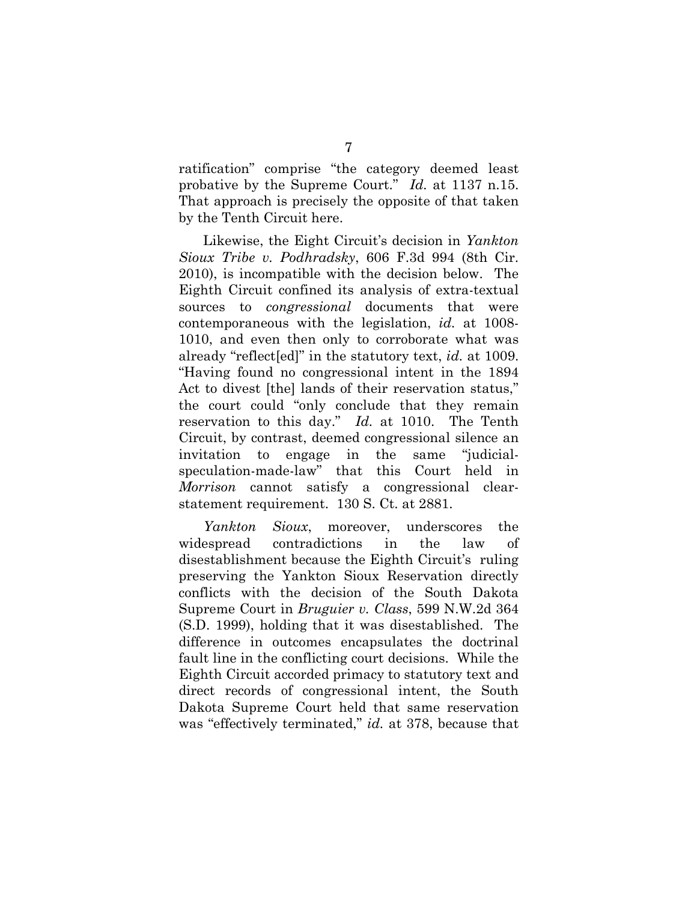ratification" comprise "the category deemed least probative by the Supreme Court." *Id.* at 1137 n.15. That approach is precisely the opposite of that taken by the Tenth Circuit here.

Likewise, the Eight Circuit's decision in *Yankton Sioux Tribe v. Podhradsky*, 606 F.3d 994 (8th Cir. 2010), is incompatible with the decision below. The Eighth Circuit confined its analysis of extra-textual sources to *congressional* documents that were contemporaneous with the legislation, *id.* at 1008- 1010, and even then only to corroborate what was already "reflect[ed]" in the statutory text, *id.* at 1009. "Having found no congressional intent in the 1894 Act to divest [the] lands of their reservation status," the court could "only conclude that they remain reservation to this day." *Id.* at 1010. The Tenth Circuit, by contrast, deemed congressional silence an invitation to engage in the same "judicialspeculation-made-law" that this Court held in *Morrison* cannot satisfy a congressional clearstatement requirement. 130 S. Ct. at 2881.

*Yankton Sioux*, moreover, underscores the widespread contradictions in the law of disestablishment because the Eighth Circuit's ruling preserving the Yankton Sioux Reservation directly conflicts with the decision of the South Dakota Supreme Court in *Bruguier v. Class*, 599 N.W.2d 364 (S.D. 1999), holding that it was disestablished. The difference in outcomes encapsulates the doctrinal fault line in the conflicting court decisions. While the Eighth Circuit accorded primacy to statutory text and direct records of congressional intent, the South Dakota Supreme Court held that same reservation was "effectively terminated," *id.* at 378, because that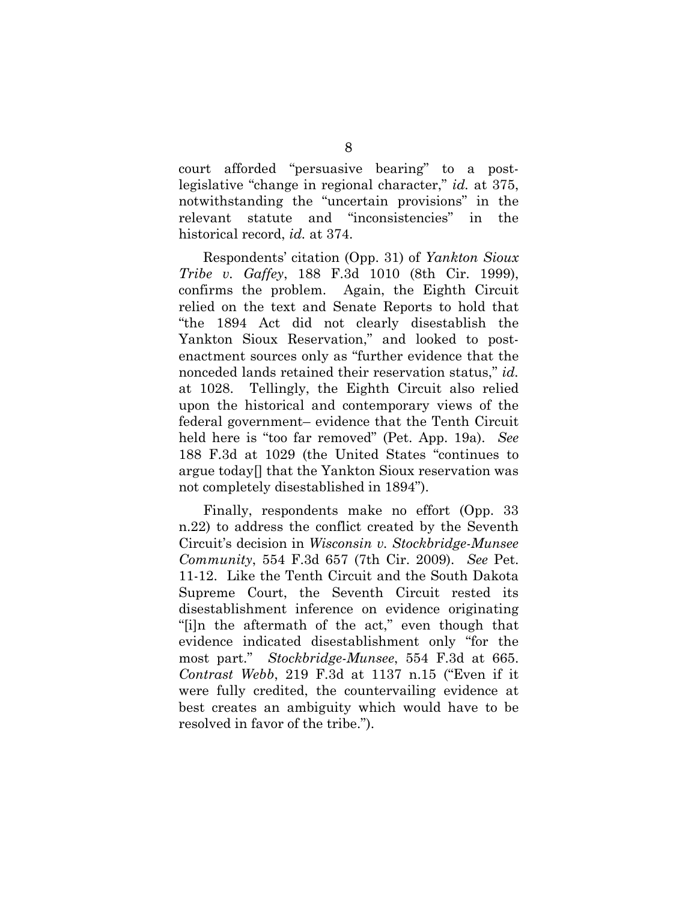court afforded "persuasive bearing" to a postlegislative "change in regional character," *id.* at 375, notwithstanding the "uncertain provisions" in the relevant statute and "inconsistencies" in the historical record, *id.* at 374.

Respondents' citation (Opp. 31) of *Yankton Sioux Tribe v. Gaffey*, 188 F.3d 1010 (8th Cir. 1999), confirms the problem. Again, the Eighth Circuit relied on the text and Senate Reports to hold that "the 1894 Act did not clearly disestablish the Yankton Sioux Reservation," and looked to postenactment sources only as "further evidence that the nonceded lands retained their reservation status," *id.* at 1028. Tellingly, the Eighth Circuit also relied upon the historical and contemporary views of the federal government– evidence that the Tenth Circuit held here is "too far removed" (Pet. App. 19a). *See*  188 F.3d at 1029 (the United States "continues to argue today[] that the Yankton Sioux reservation was not completely disestablished in 1894").

Finally, respondents make no effort (Opp. 33 n.22) to address the conflict created by the Seventh Circuit's decision in *Wisconsin v. Stockbridge-Munsee Community*, 554 F.3d 657 (7th Cir. 2009). *See* Pet. 11-12. Like the Tenth Circuit and the South Dakota Supreme Court, the Seventh Circuit rested its disestablishment inference on evidence originating "[i]n the aftermath of the act," even though that evidence indicated disestablishment only "for the most part." *Stockbridge-Munsee*, 554 F.3d at 665. *Contrast Webb*, 219 F.3d at 1137 n.15 ("Even if it were fully credited, the countervailing evidence at best creates an ambiguity which would have to be resolved in favor of the tribe.").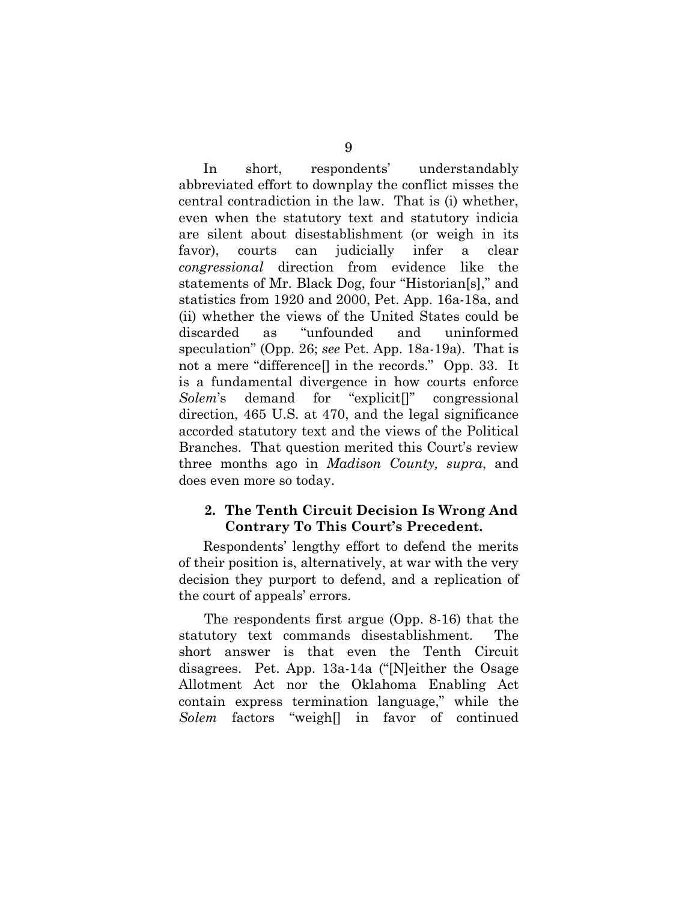In short, respondents' understandably abbreviated effort to downplay the conflict misses the central contradiction in the law. That is (i) whether, even when the statutory text and statutory indicia are silent about disestablishment (or weigh in its favor), courts can judicially infer a clear *congressional* direction from evidence like the statements of Mr. Black Dog, four "Historian[s]," and statistics from 1920 and 2000, Pet. App. 16a-18a, and (ii) whether the views of the United States could be discarded as "unfounded and uninformed speculation" (Opp. 26; *see* Pet. App. 18a-19a). That is not a mere "difference[] in the records." Opp. 33. It is a fundamental divergence in how courts enforce *Solem*'s demand for "explicit[]" congressional direction, 465 U.S. at 470, and the legal significance accorded statutory text and the views of the Political Branches. That question merited this Court's review three months ago in *Madison County, supra*, and does even more so today.

### **2. The Tenth Circuit Decision Is Wrong And Contrary To This Court's Precedent.**

Respondents' lengthy effort to defend the merits of their position is, alternatively, at war with the very decision they purport to defend, and a replication of the court of appeals' errors.

The respondents first argue (Opp. 8-16) that the statutory text commands disestablishment. The short answer is that even the Tenth Circuit disagrees. Pet. App. 13a-14a ("[N]either the Osage Allotment Act nor the Oklahoma Enabling Act contain express termination language," while the *Solem* factors "weigh[] in favor of continued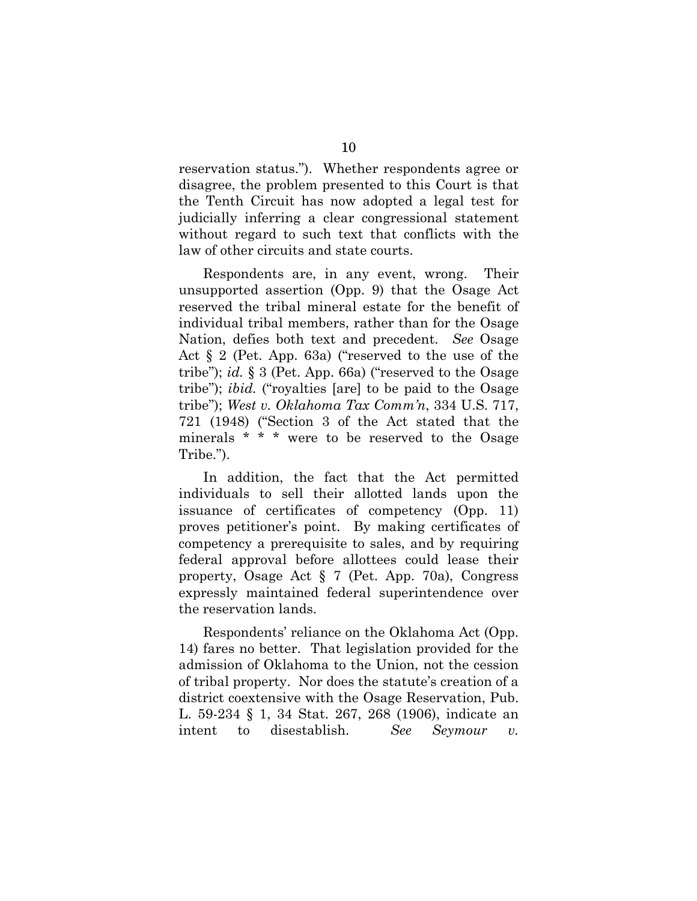reservation status."). Whether respondents agree or disagree, the problem presented to this Court is that the Tenth Circuit has now adopted a legal test for judicially inferring a clear congressional statement without regard to such text that conflicts with the law of other circuits and state courts.

Respondents are, in any event, wrong. Their unsupported assertion (Opp. 9) that the Osage Act reserved the tribal mineral estate for the benefit of individual tribal members, rather than for the Osage Nation, defies both text and precedent. *See* Osage Act § 2 (Pet. App. 63a) ("reserved to the use of the tribe"); *id.* § 3 (Pet. App. 66a) ("reserved to the Osage tribe"); *ibid.* ("royalties [are] to be paid to the Osage tribe"); *West v. Oklahoma Tax Comm'n*, 334 U.S. 717, 721 (1948) ("Section 3 of the Act stated that the minerals \* \* \* were to be reserved to the Osage Tribe.").

In addition, the fact that the Act permitted individuals to sell their allotted lands upon the issuance of certificates of competency (Opp. 11) proves petitioner's point. By making certificates of competency a prerequisite to sales, and by requiring federal approval before allottees could lease their property, Osage Act § 7 (Pet. App. 70a), Congress expressly maintained federal superintendence over the reservation lands.

Respondents' reliance on the Oklahoma Act (Opp. 14) fares no better. That legislation provided for the admission of Oklahoma to the Union, not the cession of tribal property. Nor does the statute's creation of a district coextensive with the Osage Reservation, Pub. L. 59-234 § 1, 34 Stat. 267, 268 (1906), indicate an intent to disestablish. *See Seymour v.*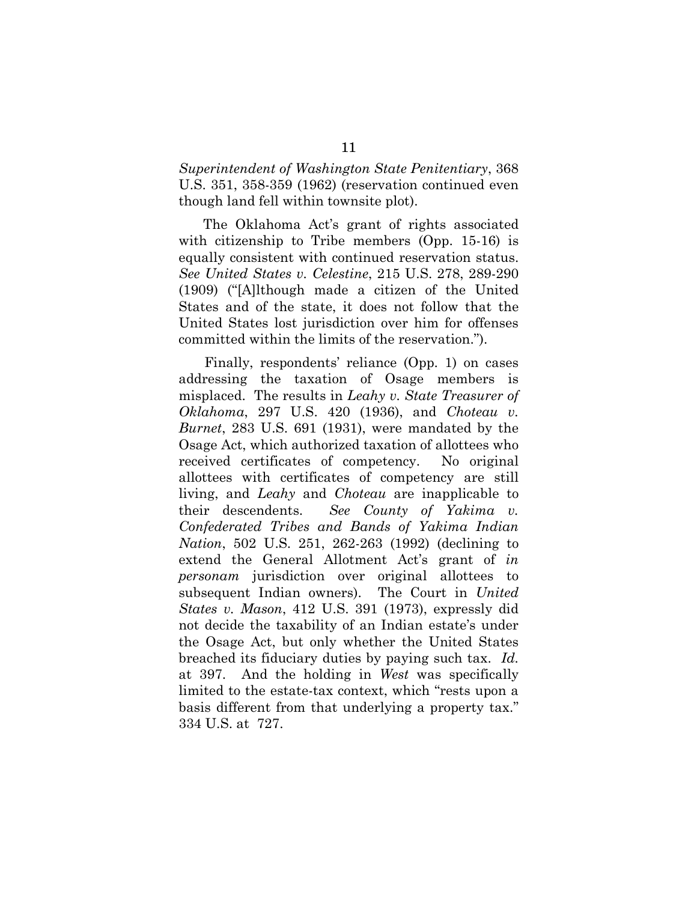*Superintendent of Washington State Penitentiary*, 368 U.S. 351, 358-359 (1962) (reservation continued even though land fell within townsite plot).

The Oklahoma Act's grant of rights associated with citizenship to Tribe members (Opp. 15-16) is equally consistent with continued reservation status. *See United States v. Celestine*, 215 U.S. 278, 289-290 (1909) ("[A]lthough made a citizen of the United States and of the state, it does not follow that the United States lost jurisdiction over him for offenses committed within the limits of the reservation.").

Finally, respondents' reliance (Opp. 1) on cases addressing the taxation of Osage members is misplaced. The results in *Leahy v. State Treasurer of Oklahoma*, 297 U.S. 420 (1936), and *Choteau v. Burnet*, 283 U.S. 691 (1931), were mandated by the Osage Act, which authorized taxation of allottees who received certificates of competency. No original allottees with certificates of competency are still living, and *Leahy* and *Choteau* are inapplicable to their descendents. *See County of Yakima v. Confederated Tribes and Bands of Yakima Indian Nation*, 502 U.S. 251, 262-263 (1992) (declining to extend the General Allotment Act's grant of *in personam* jurisdiction over original allottees to subsequent Indian owners). The Court in *United States v. Mason*, 412 U.S. 391 (1973), expressly did not decide the taxability of an Indian estate's under the Osage Act, but only whether the United States breached its fiduciary duties by paying such tax. *Id.* at 397. And the holding in *West* was specifically limited to the estate-tax context, which "rests upon a basis different from that underlying a property tax." 334 U.S. at 727.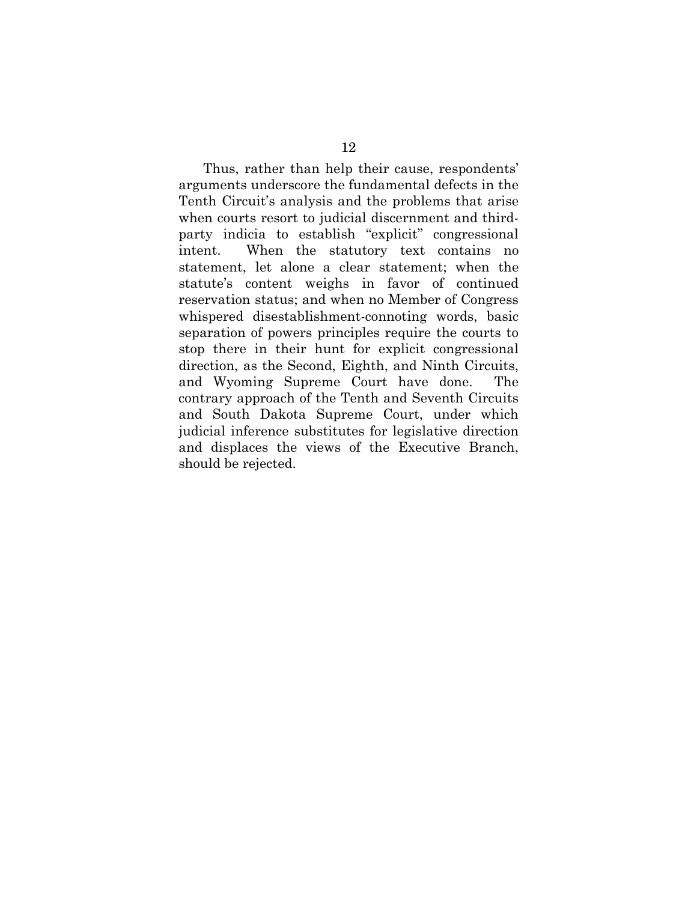Thus, rather than help their cause, respondents' arguments underscore the fundamental defects in the Tenth Circuit's analysis and the problems that arise when courts resort to judicial discernment and thirdparty indicia to establish "explicit" congressional intent. When the statutory text contains no statement, let alone a clear statement; when the statute's content weighs in favor of continued reservation status; and when no Member of Congress whispered disestablishment-connoting words, basic separation of powers principles require the courts to stop there in their hunt for explicit congressional direction, as the Second, Eighth, and Ninth Circuits, and Wyoming Supreme Court have done. The contrary approach of the Tenth and Seventh Circuits and South Dakota Supreme Court, under which judicial inference substitutes for legislative direction and displaces the views of the Executive Branch, should be rejected.